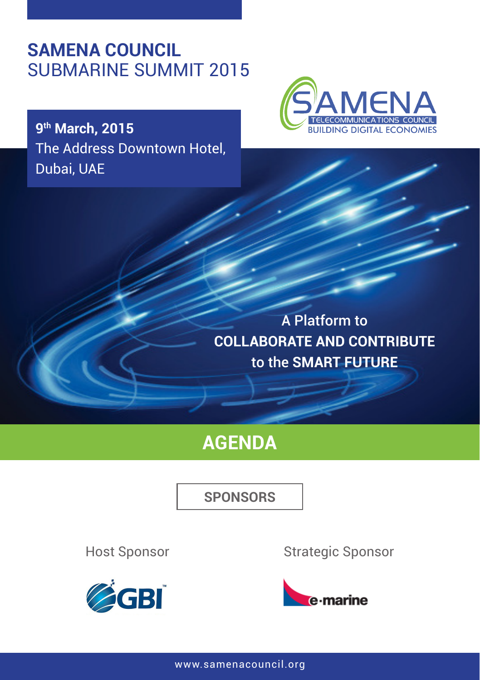## **SAMENA COUNCIL** SUBMARINE SUMMIT 2015

**9th March, 2015** The Address Downtown Hotel, Dubai, UAE



A Platform to **COLLABORATE AND CONTRIBUTE**  to the **SMART FUTURE**

## **AGENDA**

**SPONSORS**

Host Sponsor



Strategic Sponsor



www.samenacouncil.org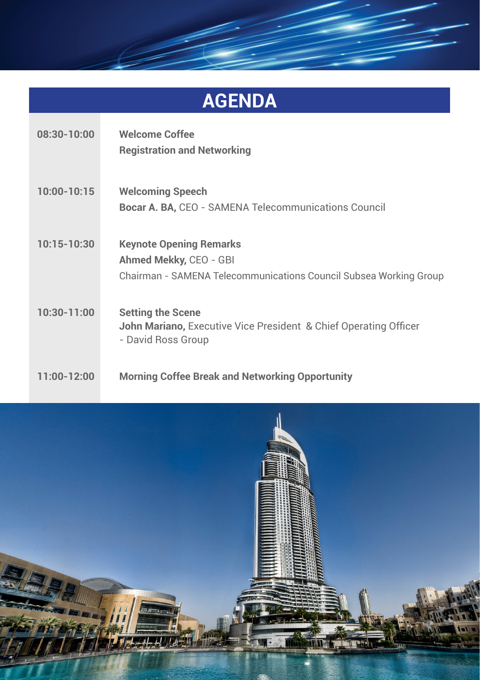# **AGENDA 08:30-10:00 Welcome Coffee Registration and Networking 10:00-10:15 Welcoming Speech Bocar A. BA,** CEO - SAMENA Telecommunications Council **10:15-10:30 Keynote Opening Remarks Ahmed Mekky,** CEO - GBI Chairman - SAMENA Telecommunications Council Subsea Working Group

**10:30-11:00 Setting the Scene John Mariano,** Executive Vice President & Chief Operating Officer - David Ross Group

#### **11:00-12:00 Morning Coffee Break and Networking Opportunity**

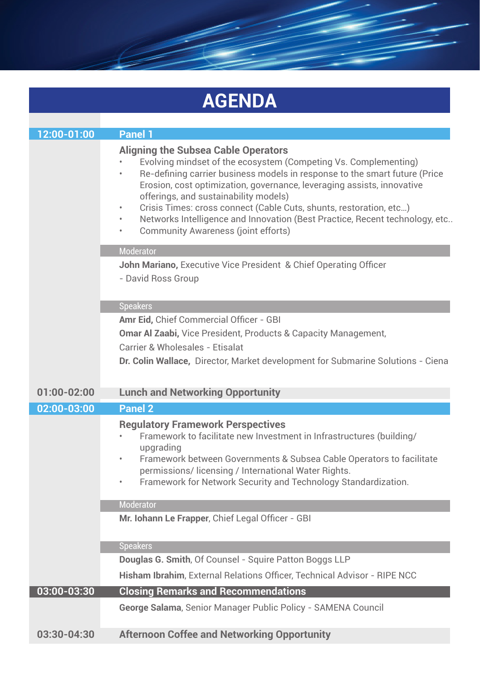|                 | <b>AGENDA</b>                                                                                                                                                                                                                                                                                                                                                                                                                                                                                              |
|-----------------|------------------------------------------------------------------------------------------------------------------------------------------------------------------------------------------------------------------------------------------------------------------------------------------------------------------------------------------------------------------------------------------------------------------------------------------------------------------------------------------------------------|
|                 |                                                                                                                                                                                                                                                                                                                                                                                                                                                                                                            |
| 12:00-01:00     | Panel 1                                                                                                                                                                                                                                                                                                                                                                                                                                                                                                    |
|                 | <b>Aligning the Subsea Cable Operators</b><br>Evolving mindset of the ecosystem (Competing Vs. Complementing)<br>Re-defining carrier business models in response to the smart future (Price<br>Erosion, cost optimization, governance, leveraging assists, innovative<br>offerings, and sustainability models)<br>Crisis Times: cross connect (Cable Cuts, shunts, restoration, etc)<br>Networks Intelligence and Innovation (Best Practice, Recent technology, etc<br>Community Awareness (joint efforts) |
|                 | Moderator<br><b>John Mariano, Executive Vice President &amp; Chief Operating Officer</b><br>- David Ross Group                                                                                                                                                                                                                                                                                                                                                                                             |
|                 | <b>Speakers</b>                                                                                                                                                                                                                                                                                                                                                                                                                                                                                            |
|                 | Amr Eid. Chief Commercial Officer - GBI                                                                                                                                                                                                                                                                                                                                                                                                                                                                    |
|                 | Omar Al Zaabi, Vice President, Products & Capacity Management,                                                                                                                                                                                                                                                                                                                                                                                                                                             |
|                 | Carrier & Wholesales - Etisalat                                                                                                                                                                                                                                                                                                                                                                                                                                                                            |
|                 | Dr. Colin Wallace, Director, Market development for Submarine Solutions - Ciena                                                                                                                                                                                                                                                                                                                                                                                                                            |
| $01:00 - 02:00$ | <b>Lunch and Networking Opportunity</b>                                                                                                                                                                                                                                                                                                                                                                                                                                                                    |
| 02:00-03:00     | <b>Panel 2</b>                                                                                                                                                                                                                                                                                                                                                                                                                                                                                             |
|                 | <b>Regulatory Framework Perspectives</b><br>Framework to facilitate new Investment in Infrastructures (building/<br>upgrading<br>Framework between Governments & Subsea Cable Operators to facilitate<br>permissions/licensing / International Water Rights.<br>Framework for Network Security and Technology Standardization.                                                                                                                                                                             |
|                 | <b>Moderator</b>                                                                                                                                                                                                                                                                                                                                                                                                                                                                                           |
|                 | Mr. Iohann Le Frapper, Chief Legal Officer - GBI                                                                                                                                                                                                                                                                                                                                                                                                                                                           |
|                 | <b>Speakers</b>                                                                                                                                                                                                                                                                                                                                                                                                                                                                                            |
|                 | Douglas G. Smith, Of Counsel - Squire Patton Boggs LLP                                                                                                                                                                                                                                                                                                                                                                                                                                                     |
|                 | Hisham Ibrahim, External Relations Officer, Technical Advisor - RIPE NCC                                                                                                                                                                                                                                                                                                                                                                                                                                   |
| 03:00-03:30     | <b>Closing Remarks and Recommendations</b>                                                                                                                                                                                                                                                                                                                                                                                                                                                                 |
|                 | George Salama, Senior Manager Public Policy - SAMENA Council                                                                                                                                                                                                                                                                                                                                                                                                                                               |
| $03:30 - 04:30$ | <b>Afternoon Coffee and Networking Opportunity</b>                                                                                                                                                                                                                                                                                                                                                                                                                                                         |